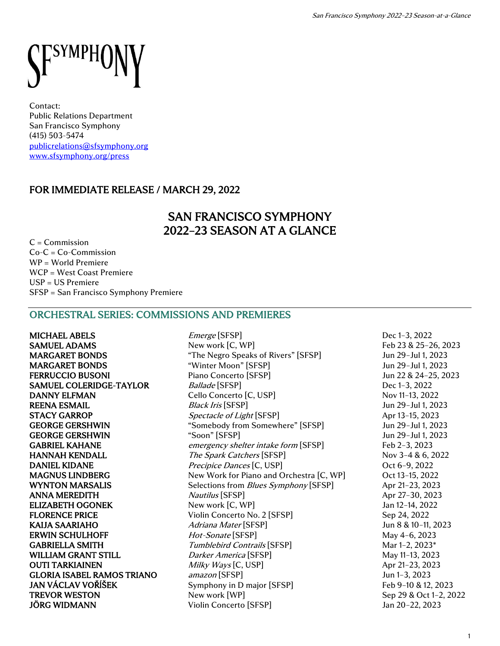

Contact: Public Relations Department San Francisco Symphony (415) 503-5474 [publicrelations@sfsymphony.org](mailto:publicrelations@sfsymphony.org) [www.sfsymphony.org/press](http://www.sfsymphony.org/press)

# FOR IMMEDIATE RELEASE / MARCH 29, 2022

# SAN FRANCISCO SYMPHONY 2022–23 SEASON AT A GLANCE

 $C =$ Commission  $Co-C = Co-Commission$ WP = World Premiere WCP = West Coast Premiere USP = US Premiere SFSP = San Francisco Symphony Premiere

## ORCHESTRAL SERIES: COMMISSIONS AND PREMIERES

MICHAEL ABELS Emerge [SFSP] Dec 1–3, 2022 JÖRG WIDMANN Violin Concerto [SFSP] Jan 20–22, 2023

**SAMUEL ADAMS** New work [C, WP] Feb 23 & 25-26, 2023 MARGARET BONDS "The Negro Speaks of Rivers" [SFSP] Jun 29–Jul 1, 2023 MARGARET BONDS "Winter Moon" [SFSP] Jun 29–Jul 1, 2023 FERRUCCIO BUSONI Piano Concerto [SFSP] Jun 22 & 24–25, 2023 SAMUEL COLERIDGE-TAYLOR Ballade [SFSP] Dec 1–3, 2022 DANNY ELFMAN Cello Concerto [C, USP] Nov 11–13, 2022 REENA ESMAIL Black Iris [SFSP] Jun 29-Jul 1, 2023 STACY GARROP Spectacle of Light [SFSP] Apr 13-15, 2023 GEORGE GERSHWIN "Somebody from Somewhere" [SFSP] Jun 29-Jul 1, 2023 GEORGE GERSHWIN "Soon" [SFSP] Farmer Soon" [SFSP] Farmer South 2023 GABRIEL KAHANE emergency shelter intake form [SFSP] Feb 2-3, 2023 HANNAH KENDALL The Spark Catchers [SFSP] Nov 3-4 & 6, 2022 **DANIEL KIDANE** Precipice Dances [C, USP] Cost 6-9, 2022 MAGNUS LINDBERG New Work for Piano and Orchestra [C, WP] Oct 13-15, 2022 WYNTON MARSALIS Selections from *Blues Symphony* [SFSP] Apr 21-23, 2023 ANNA MEREDITH  $Nautilus$  [SFSP] Apr 27–30, 2023 ELIZABETH OGONEK New work [C, WP] Jan 12-14, 2022 FLORENCE PRICE **PRICE** Violin Concerto No. 2 [SFSP] Sep 24, 2022 KAIJA SAARIAHO  $Adriana\text{ Mater}$  [SFSP] Jun 8 & 10–11, 2023 ERWIN SCHULHOFF *Hot-Sonate* [SFSP] May 4–6, 2023 GABRIELLA SMITH Tumblebird Contrails [SFSP] Mar 1-2, 2023\* WILLIAM GRANT STILL *Darker America* [SFSP] May 11-13, 2023 OUTI TARKIAINEN Milky Ways [C, USP] Apr 21-23, 2023 GLORIA ISABEL RAMOS TRIANO amazon [SFSP] Jun 1-3, 2023 JAN VÁCLAV VOŘÍŠEK Symphony in D major [SFSP] Feb 9–10 & 12, 2023 TREVOR WESTON New work [WP] Sep 29 & Oct 1-2, 2022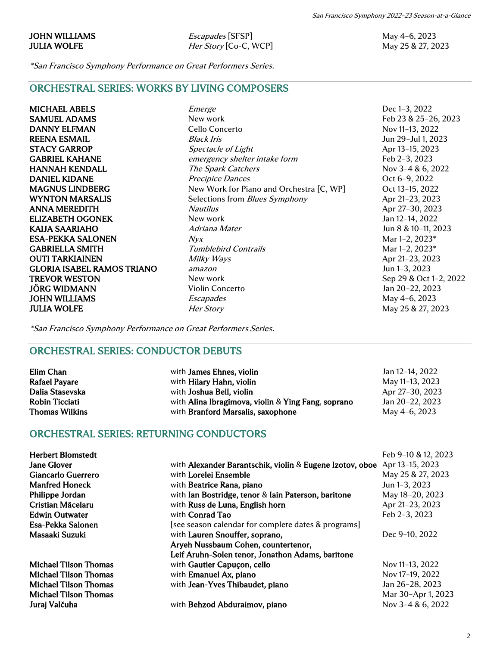JOHN WILLIAMS **Escapades** [SFSP] May 4–6, 2023 JULIA WOLFE *Her Story* [Co-C, WCP] May 25 & 27, 2023

San Francisco Symphony 2022–23 Season-at-a-Glance

\*San Francisco Symphony Performance on Great Performers Series.

ORCHESTRAL SERIES: WORKS BY LIVING COMPOSERS

**JULIA WOLFE** *Her Story Her Story* May 25 & 27, 2023

MICHAEL ABELS Emerge Dec 1–3, 2022 SAMUEL ADAMS New work New work Feb 23 & 25-26, 2023 DANNY ELFMAN Cello Concerto Nov 11–13, 2022 REENA ESMAIL Black Iris Black Iris Black Iris Jun 29-Jul 1, 2023 STACY GARROP Spectacle of Light Spectacle of Light Apr 13-15, 2023 GABRIEL KAHANE emergency shelter intake form Feb 2-3, 2023 HANNAH KENDALL The Spark Catchers Nov 3-4 & 6, 2022 DANIEL KIDANE Precipice Dances Oct 6–9, 2022 MAGNUS LINDBERG New Work for Piano and Orchestra [C, WP] Oct 13-15, 2022 WYNTON MARSALIS Selections from *Blues Symphony* Apr 21-23, 2023 ANNA MEREDITH  $Nautilus$  Apr 27–30, 2023 ELIZABETH OGONEK New work Jan 12–14, 2022 KAIJA SAARIAHO Adriana Mater 1999 Martin 1999 Martin 1998 10-11, 2023 **ESA-PEKKA SALONEN**  $Nyx$  Mar 1–2, 2023\* GABRIELLA SMITH Tumblebird Contrails Tumbless Contrains Mar 1-2, 2023\* **OUTI TARKIAINEN** Milky Ways Apr 21–23, 2023 GLORIA ISABEL RAMOS TRIANO amazon amazon Jun 1–3, 2023 TREVOR WESTON New work New work Sep 29 & Oct 1-2, 2022 JÖRG WIDMANN Violin Concerto Jan 20–22, 2023 JOHN WILLIAMS **Escapades** Escapades May 4–6, 2023

\*San Francisco Symphony Performance on Great Performers Series.

## ORCHESTRAL SERIES: CONDUCTOR DEBUTS

| Elim Chan             | with <b>James Ehnes</b> , violin                   | Jan 12-14, 2022 |
|-----------------------|----------------------------------------------------|-----------------|
| <b>Rafael Payare</b>  | with Hilary Hahn, violin                           | May 11-13, 2023 |
| Dalia Stasevska       | with <b>Joshua Bell</b> , violin                   | Apr 27-30, 2023 |
| <b>Robin Ticciati</b> | with Alina Ibragimova, violin & Ying Fang, soprano | Jan 20-22, 2023 |
| <b>Thomas Wilkins</b> | with Branford Marsalis, saxophone                  | May 4-6, 2023   |

## ORCHESTRAL SERIES: RETURNING CONDUCTORS

| <b>Herbert Blomstedt</b>     |                                                          | Feb 9-10 & 12, 2023 |
|------------------------------|----------------------------------------------------------|---------------------|
| <b>Jane Glover</b>           | with Alexander Barantschik, violin & Eugene Izotov, oboe | Apr 13-15, 2023     |
| Giancarlo Guerrero           | with Lorelei Ensemble                                    | May 25 & 27, 2023   |
| <b>Manfred Honeck</b>        | with Beatrice Rana, piano                                | Jun 1-3, 2023       |
| Philippe Jordan              | with Ian Bostridge, tenor & Iain Paterson, baritone      | May 18-20, 2023     |
| Cristian Măcelaru            | with Russ de Luna, English horn                          | Apr 21-23, 2023     |
| <b>Edwin Outwater</b>        | with <b>Conrad Tao</b>                                   | Feb 2-3, 2023       |
| Esa-Pekka Salonen            | [see season calendar for complete dates & programs]      |                     |
| Masaaki Suzuki               | with Lauren Snouffer, soprano,                           | Dec 9-10, 2022      |
|                              | Aryeh Nussbaum Cohen, countertenor,                      |                     |
|                              | Leif Aruhn-Solen tenor, Jonathon Adams, baritone         |                     |
| <b>Michael Tilson Thomas</b> | with Gautier Capuçon, cello                              | Nov 11-13, 2022     |
| <b>Michael Tilson Thomas</b> | with Emanuel Ax, piano                                   | Nov 17-19, 2022     |
| <b>Michael Tilson Thomas</b> | with Jean-Yves Thibaudet, piano                          | Jan 26-28, 2023     |
| <b>Michael Tilson Thomas</b> |                                                          | Mar 30-Apr 1, 2023  |
| Juraj Valčuha                | with Behzod Abduraimov, piano                            | Nov 3-4 & 6, 2022   |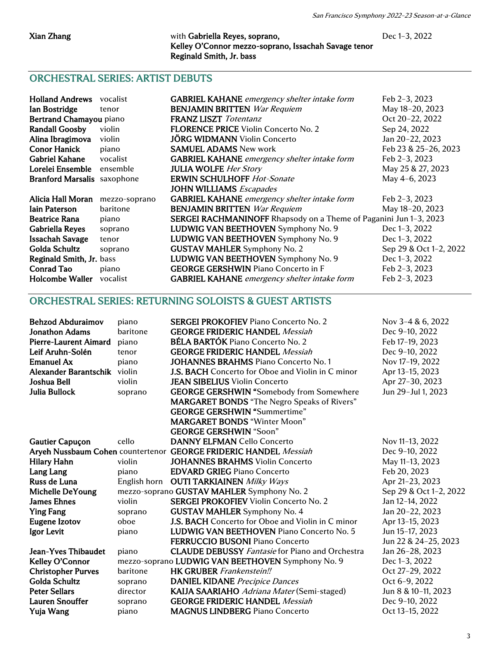#### Xian Zhang with Gabriella Reyes, soprano, Dec 1–3, 2022 Kelley O'Connor mezzo-soprano, Issachah Savage tenor Reginald Smith, Jr. bass

## ORCHESTRAL SERIES: ARTIST DEBUTS

| <b>Holland Andrews</b>             | vocalist      | <b>GABRIEL KAHANE</b> emergency shelter intake form                      | Feb 2-3, 2023          |
|------------------------------------|---------------|--------------------------------------------------------------------------|------------------------|
| Ian Bostridge                      | tenor         | <b>BENJAMIN BRITTEN</b> War Requiem                                      | May 18-20, 2023        |
| Bertrand Chamayou piano            |               | <b>FRANZ LISZT</b> Totentanz                                             | Oct 20-22, 2022        |
| <b>Randall Goosby</b>              | violin        | <b>FLORENCE PRICE Violin Concerto No. 2</b>                              | Sep 24, 2022           |
| Alina Ibragimova                   | violin        | <b>JÖRG WIDMANN</b> Violin Concerto                                      | Jan 20-22, 2023        |
| <b>Conor Hanick</b>                | piano         | <b>SAMUEL ADAMS</b> New work                                             | Feb 23 & 25-26, 2023   |
| <b>Gabriel Kahane</b>              | vocalist      | <b>GABRIEL KAHANE</b> emergency shelter intake form                      | Feb 2-3, 2023          |
| Lorelei Ensemble                   | ensemble      | <b>JULIA WOLFE</b> Her Story                                             | May 25 & 27, 2023      |
| <b>Branford Marsalis</b> saxophone |               | <b>ERWIN SCHULHOFF Hot-Sonate</b>                                        | May 4-6, 2023          |
|                                    |               | <b>JOHN WILLIAMS</b> Escapades                                           |                        |
| Alicia Hall Moran                  | mezzo-soprano | <b>GABRIEL KAHANE</b> emergency shelter intake form                      | Feb 2-3, 2023          |
| <b>Iain Paterson</b>               | baritone      | <b>BENJAMIN BRITTEN</b> War Requiem                                      | May 18-20, 2023        |
| <b>Beatrice Rana</b>               | piano         | <b>SERGEI RACHMANINOFF</b> Rhapsody on a Theme of Paganini Jun 1-3, 2023 |                        |
| <b>Gabriella Reyes</b>             | soprano       | LUDWIG VAN BEETHOVEN Symphony No. 9                                      | Dec 1-3, 2022          |
| <b>Issachah Savage</b>             | tenor         | LUDWIG VAN BEETHOVEN Symphony No. 9                                      | Dec 1-3, 2022          |
| <b>Golda Schultz</b>               | soprano       | <b>GUSTAV MAHLER</b> Symphony No. 2                                      | Sep 29 & Oct 1-2, 2022 |
| Reginald Smith, Jr. bass           |               | LUDWIG VAN BEETHOVEN Symphony No. 9                                      | Dec 1-3, 2022          |
| <b>Conrad Tao</b>                  | piano         | <b>GEORGE GERSHWIN Piano Concerto in F</b>                               | Feb 2-3, 2023          |
| <b>Holcombe Waller</b>             | vocalist      | <b>GABRIEL KAHANE</b> emergency shelter intake form                      | Feb 2-3, 2023          |

# ORCHESTRAL SERIES: RETURNING SOLOISTS & GUEST ARTISTS

| <b>Behzod Abduraimov</b>     | piano        | <b>SERGEI PROKOFIEV Piano Concerto No. 2</b>                     | Nov 3-4 & 6, 2022      |
|------------------------------|--------------|------------------------------------------------------------------|------------------------|
| <b>Jonathon Adams</b>        | baritone     | <b>GEORGE FRIDERIC HANDEL Messiah</b>                            | Dec 9-10, 2022         |
| <b>Pierre-Laurent Aimard</b> | piano        | <b>BÉLA BARTÓK Piano Concerto No. 2</b>                          | Feb 17-19, 2023        |
| Leif Aruhn-Solén             | tenor        | <b>GEORGE FRIDERIC HANDEL Messiah</b>                            | Dec 9-10, 2022         |
| <b>Emanuel Ax</b>            | piano        | <b>JOHANNES BRAHMS Piano Concerto No. 1</b>                      | Nov 17-19, 2022        |
| Alexander Barantschik violin |              | <b>J.S. BACH</b> Concerto for Oboe and Violin in C minor         | Apr 13-15, 2023        |
| <b>Joshua Bell</b>           | violin       | <b>JEAN SIBELIUS Violin Concerto</b>                             | Apr 27-30, 2023        |
| Julia Bullock                | soprano      | <b>GEORGE GERSHWIN "Somebody from Somewhere</b>                  | Jun 29-Jul 1, 2023     |
|                              |              | <b>MARGARET BONDS</b> "The Negro Speaks of Rivers"               |                        |
|                              |              | <b>GEORGE GERSHWIN "Summertime"</b>                              |                        |
|                              |              | <b>MARGARET BONDS "Winter Moon"</b>                              |                        |
|                              |              | <b>GEORGE GERSHWIN "Soon"</b>                                    |                        |
| <b>Gautier Capuçon</b>       | cello        | <b>DANNY ELFMAN Cello Concerto</b>                               | Nov 11-13, 2022        |
|                              |              | Aryeh Nussbaum Cohen countertenor GEORGE FRIDERIC HANDEL Messiah | Dec 9-10, 2022         |
| <b>Hilary Hahn</b>           | violin       | <b>JOHANNES BRAHMS Violin Concerto</b>                           | May 11-13, 2023        |
| Lang Lang                    | piano        | <b>EDVARD GRIEG Piano Concerto</b>                               | Feb 20, 2023           |
| Russ de Luna                 | English horn | <b>OUTI TARKIAINEN</b> Milky Ways                                | Apr 21-23, 2023        |
| <b>Michelle DeYoung</b>      |              | mezzo-soprano GUSTAV MAHLER Symphony No. 2                       | Sep 29 & Oct 1-2, 2022 |
| <b>James Ehnes</b>           | violin       | <b>SERGEI PROKOFIEV Violin Concerto No. 2</b>                    | Jan 12-14, 2022        |
| <b>Ying Fang</b>             | soprano      | <b>GUSTAV MAHLER</b> Symphony No. 4                              | Jan 20-22, 2023        |
| <b>Eugene Izotov</b>         | oboe         | <b>J.S. BACH</b> Concerto for Oboe and Violin in C minor         | Apr 13-15, 2023        |
| Igor Levit                   | piano        | LUDWIG VAN BEETHOVEN Piano Concerto No. 5                        | Jun 15-17, 2023        |
|                              |              | <b>FERRUCCIO BUSONI Piano Concerto</b>                           | Jun 22 & 24-25, 2023   |
| <b>Jean-Yves Thibaudet</b>   | piano        | <b>CLAUDE DEBUSSY</b> Fantasie for Piano and Orchestra           | Jan 26-28, 2023        |
| Kelley O'Connor              |              | mezzo-soprano LUDWIG VAN BEETHOVEN Symphony No. 9                | Dec 1-3, 2022          |
| <b>Christopher Purves</b>    | baritone     | <b>HK GRUBER</b> Frankenstein!!                                  | Oct 27-29, 2022        |
| <b>Golda Schultz</b>         | soprano      | <b>DANIEL KIDANE</b> Precipice Dances                            | Oct 6-9, 2022          |
| <b>Peter Sellars</b>         | director     | <b>KAIJA SAARIAHO</b> Adriana Mater (Semi-staged)                | Jun 8 & 10-11, 2023    |
| <b>Lauren Snouffer</b>       | soprano      | <b>GEORGE FRIDERIC HANDEL Messiah</b>                            | Dec 9-10, 2022         |
| Yuja Wang                    | piano        | <b>MAGNUS LINDBERG Piano Concerto</b>                            | Oct 13-15, 2022        |